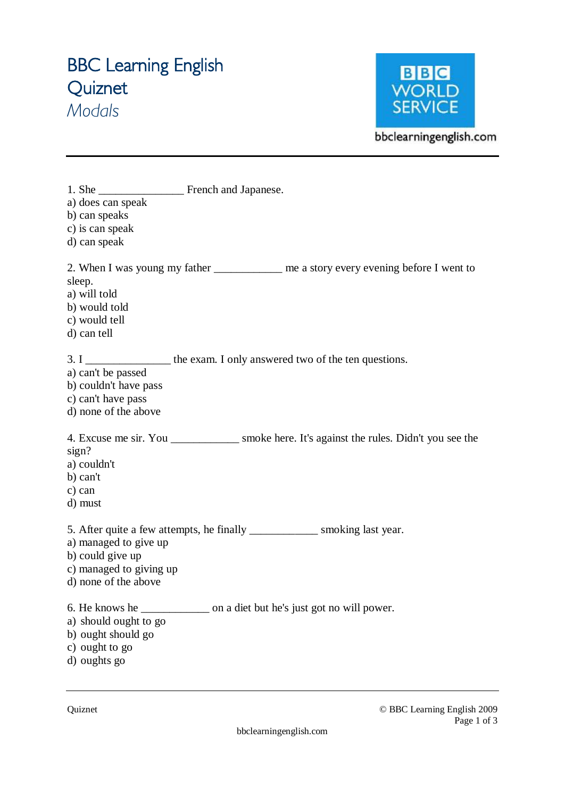# **BBC Learning English Quiznet**  *Modals*



bbclearningenglish.com

| a) does can speak<br>b) can speaks<br>c) is can speak<br>d) can speak                        |                                                                                             |
|----------------------------------------------------------------------------------------------|---------------------------------------------------------------------------------------------|
| sleep.<br>a) will told<br>b) would told<br>c) would tell<br>d) can tell                      | 2. When I was young my father __________ me a story every evening before I went to          |
| a) can't be passed<br>b) couldn't have pass<br>c) can't have pass<br>d) none of the above    | 3. I _____________________ the exam. I only answered two of the ten questions.              |
| sign?<br>a) couldn't<br>b) can't<br>c) can<br>d) must                                        | 4. Excuse me sir. You ______________ smoke here. It's against the rules. Didn't you see the |
| a) managed to give up<br>b) could give up<br>c) managed to giving up<br>d) none of the above | 5. After quite a few attempts, he finally ______________ smoking last year.                 |
| a) should ought to go<br>b) ought should go<br>c) ought to go<br>d) oughts go                |                                                                                             |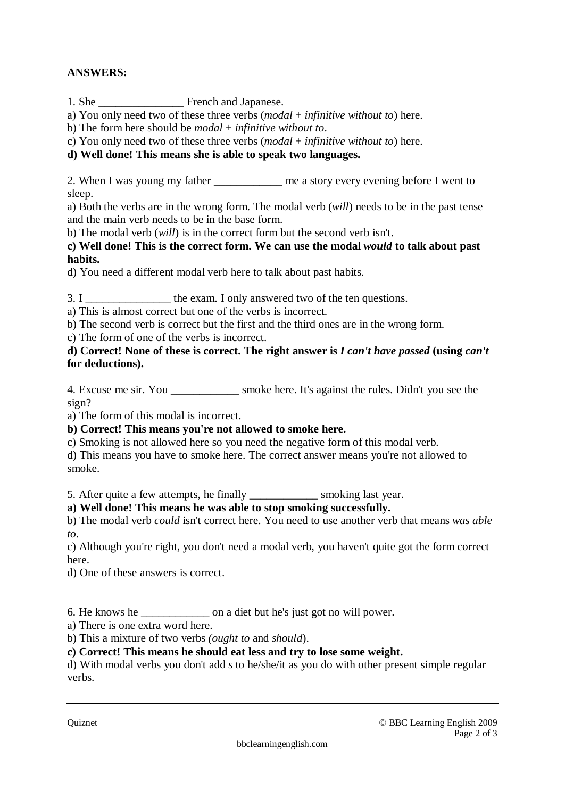## **ANSWERS:**

1. She \_\_\_\_\_\_\_\_\_\_\_\_\_\_\_ French and Japanese.

a) You only need two of these three verbs (*modal* + *infinitive without to*) here.

b) The form here should be *modal* + *infinitive without to*.

c) You only need two of these three verbs (*modal* + *infinitive without to*) here.

### **d) Well done! This means she is able to speak two languages.**

2. When I was young my father <u>the same astory every evening</u> before I went to sleep.

a) Both the verbs are in the wrong form. The modal verb (*will*) needs to be in the past tense and the main verb needs to be in the base form.

b) The modal verb (*will*) is in the correct form but the second verb isn't.

**c) Well done! This is the correct form. We can use the modal** *would* **to talk about past habits.** 

d) You need a different modal verb here to talk about past habits.

3. I \_\_\_\_\_\_\_\_\_\_\_\_\_\_\_\_\_\_ the exam. I only answered two of the ten questions.

a) This is almost correct but one of the verbs is incorrect.

b) The second verb is correct but the first and the third ones are in the wrong form.

c) The form of one of the verbs is incorrect.

**d) Correct! None of these is correct. The right answer is** *I can't have passed* **(using** *can't*  **for deductions).** 

4. Excuse me sir. You \_\_\_\_\_\_\_\_\_\_\_\_ smoke here. It's against the rules. Didn't you see the sign?

a) The form of this modal is incorrect.

### **b) Correct! This means you're not allowed to smoke here.**

c) Smoking is not allowed here so you need the negative form of this modal verb.

d) This means you have to smoke here. The correct answer means you're not allowed to smoke.

5. After quite a few attempts, he finally \_\_\_\_\_\_\_\_\_\_\_\_ smoking last year.

### **a) Well done! This means he was able to stop smoking successfully.**

b) The modal verb *could* isn't correct here. You need to use another verb that means *was able to*.

c) Although you're right, you don't need a modal verb, you haven't quite got the form correct here.

d) One of these answers is correct.

6. He knows he \_\_\_\_\_\_\_\_\_\_\_\_ on a diet but he's just got no will power.

a) There is one extra word here.

b) This a mixture of two verbs *(ought to* and *should*).

**c) Correct! This means he should eat less and try to lose some weight.** 

d) With modal verbs you don't add *s* to he/she/it as you do with other present simple regular verbs.